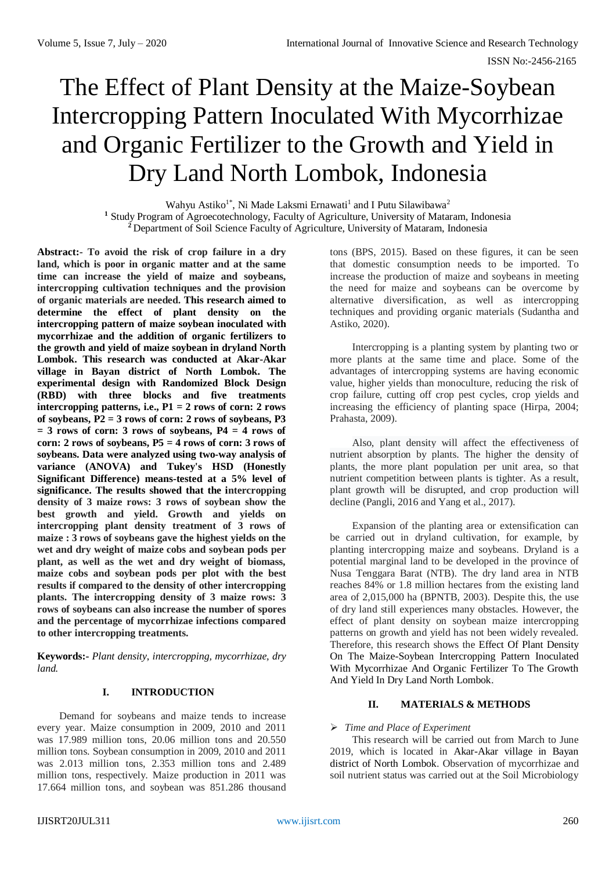# The Effect of Plant Density at the Maize-Soybean Intercropping Pattern Inoculated With Mycorrhizae and Organic Fertilizer to the Growth and Yield in Dry Land North Lombok, Indonesia

Wahyu Astiko<sup>1\*</sup>, Ni Made Laksmi Ernawati<sup>1</sup> and I Putu Silawibawa<sup>2</sup> <sup>1</sup> Study Program of Agroecotechnology, Faculty of Agriculture, University of Mataram, Indonesia **<sup>2</sup>**Department of Soil Science Faculty of Agriculture, University of Mataram, Indonesia

**Abstract:**- **To avoid the risk of crop failure in a dry land, which is poor in organic matter and at the same time can increase the yield of maize and soybeans, intercropping cultivation techniques and the provision of organic materials are needed. This research aimed to determine the effect of plant density on the intercropping pattern of maize soybean inoculated with mycorrhizae and the addition of organic fertilizers to the growth and yield of maize soybean in dryland North Lombok. This research was conducted at Akar-Akar village in Bayan district of North Lombok. The experimental design with Randomized Block Design (RBD) with three blocks and five treatments intercropping patterns, i.e., P1 = 2 rows of corn: 2 rows of soybeans, P2 = 3 rows of corn: 2 rows of soybeans, P3**   $=$  3 rows of corn: 3 rows of soybeans,  $P4 = 4$  rows of **corn: 2 rows of soybeans, P5 = 4 rows of corn: 3 rows of soybeans. Data were analyzed using two-way analysis of variance (ANOVA) and Tukey's HSD (Honestly Significant Difference) means-tested at a 5% level of significance. The results showed that the intercropping density of 3 maize rows: 3 rows of soybean show the best growth and yield. Growth and yields on intercropping plant density treatment of 3 rows of maize : 3 rows of soybeans gave the highest yields on the wet and dry weight of maize cobs and soybean pods per plant, as well as the wet and dry weight of biomass, maize cobs and soybean pods per plot with the best results if compared to the density of other intercropping plants. The intercropping density of 3 maize rows: 3 rows of soybeans can also increase the number of spores and the percentage of mycorrhizae infections compared to other intercropping treatments.**

**Keywords:-** *Plant density*, *intercropping, mycorrhizae, dry land.*

#### **I. INTRODUCTION**

Demand for soybeans and maize tends to increase every year. Maize consumption in 2009, 2010 and 2011 was 17.989 million tons, 20.06 million tons and 20.550 million tons. Soybean consumption in 2009, 2010 and 2011 was 2.013 million tons, 2.353 million tons and 2.489 million tons, respectively. Maize production in 2011 was 17.664 million tons, and soybean was 851.286 thousand

tons (BPS, 2015). Based on these figures, it can be seen that domestic consumption needs to be imported. To increase the production of maize and soybeans in meeting the need for maize and soybeans can be overcome by alternative diversification, as well as intercropping techniques and providing organic materials (Sudantha and Astiko, 2020).

Intercropping is a planting system by planting two or more plants at the same time and place. Some of the advantages of intercropping systems are having economic value, higher yields than monoculture, reducing the risk of crop failure, cutting off crop pest cycles, crop yields and increasing the efficiency of planting space (Hirpa, 2004; Prahasta, 2009).

Also, plant density will affect the effectiveness of nutrient absorption by plants. The higher the density of plants, the more plant population per unit area, so that nutrient competition between plants is tighter. As a result, plant growth will be disrupted, and crop production will decline (Pangli, 2016 and Yang et al., 2017).

Expansion of the planting area or extensification can be carried out in dryland cultivation, for example, by planting intercropping maize and soybeans. Dryland is a potential marginal land to be developed in the province of Nusa Tenggara Barat (NTB). The dry land area in NTB reaches 84% or 1.8 million hectares from the existing land area of 2,015,000 ha (BPNTB, 2003). Despite this, the use of dry land still experiences many obstacles. However, the effect of plant density on soybean maize intercropping patterns on growth and yield has not been widely revealed. Therefore, this research shows the Effect Of Plant Density On The Maize-Soybean Intercropping Pattern Inoculated With Mycorrhizae And Organic Fertilizer To The Growth And Yield In Dry Land North Lombok.

#### **II. MATERIALS & METHODS**

#### *Time and Place of Experiment*

This research will be carried out from March to June 2019, which is located in Akar-Akar village in Bayan district of North Lombok. Observation of mycorrhizae and soil nutrient status was carried out at the Soil Microbiology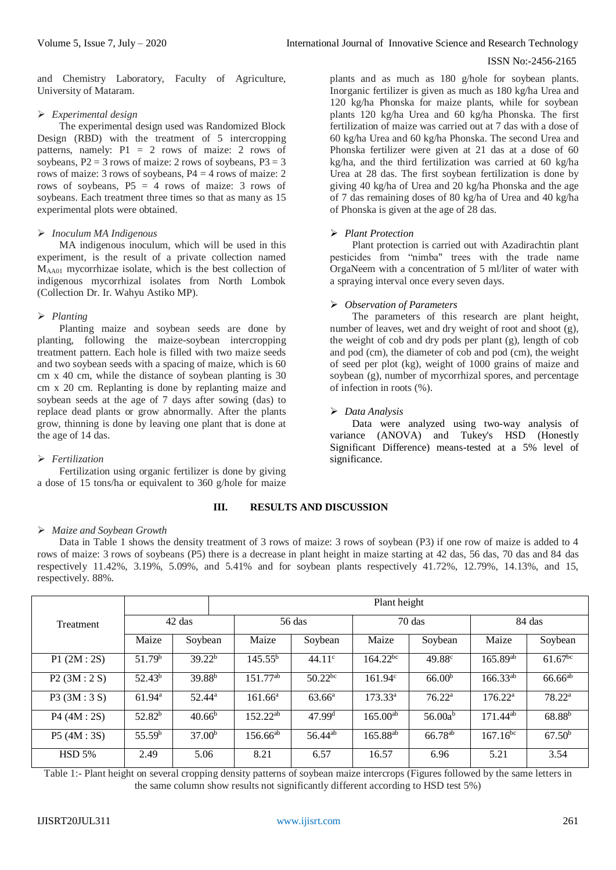and Chemistry Laboratory, Faculty of Agriculture, University of Mataram.

# *Experimental design*

The experimental design used was Randomized Block Design (RBD) with the treatment of 5 intercropping patterns, namely:  $P1 = 2$  rows of maize: 2 rows of soybeans,  $P2 = 3$  rows of maize: 2 rows of soybeans,  $P3 = 3$ rows of maize: 3 rows of soybeans, P4 = 4 rows of maize: 2 rows of soybeans,  $P5 = 4$  rows of maize: 3 rows of soybeans. Each treatment three times so that as many as 15 experimental plots were obtained.

# *Inoculum MA Indigenous*

MA indigenous inoculum, which will be used in this experiment, is the result of a private collection named MAA01 mycorrhizae isolate, which is the best collection of indigenous mycorrhizal isolates from North Lombok (Collection Dr. Ir. Wahyu Astiko MP).

# *Planting*

Planting maize and soybean seeds are done by planting, following the maize-soybean intercropping treatment pattern. Each hole is filled with two maize seeds and two soybean seeds with a spacing of maize, which is 60 cm x 40 cm, while the distance of soybean planting is 30 cm x 20 cm. Replanting is done by replanting maize and soybean seeds at the age of 7 days after sowing (das) to replace dead plants or grow abnormally. After the plants grow, thinning is done by leaving one plant that is done at the age of 14 das.

# *Fertilization*

Fertilization using organic fertilizer is done by giving a dose of 15 tons/ha or equivalent to 360 g/hole for maize

# **III. RESULTS AND DISCUSSION**

#### *Maize and Soybean Growth*

Data in Table 1 shows the density treatment of 3 rows of maize: 3 rows of soybean (P3) if one row of maize is added to 4 rows of maize: 3 rows of soybeans (P5) there is a decrease in plant height in maize starting at 42 das, 56 das, 70 das and 84 das respectively 11.42%, 3.19%, 5.09%, and 5.41% and for soybean plants respectively 41.72%, 12.79%, 14.13%, and 15, respectively. 88%.

|                  |                    | Plant height       |                          |                     |               |                     |                     |                    |  |
|------------------|--------------------|--------------------|--------------------------|---------------------|---------------|---------------------|---------------------|--------------------|--|
| <b>Treatment</b> | 42 das             |                    | $56$ das                 |                     | $70$ das      |                     | 84 das              |                    |  |
|                  | Maize              | Soybean            | Maize                    | Soybean             | Maize         | Soybean             | Maize               | Soybean            |  |
| P1(2M:2S)        | 51.79 <sup>b</sup> | 39.22 <sup>b</sup> | $145.55^{b}$             | 44.11c              | $164.22^{bc}$ | 49.88 <sup>c</sup>  | $165.89^{ab}$       | $61.67^{bc}$       |  |
| P2(3M:2S)        | $52.43^b$          | 39.88 <sup>b</sup> | $151.77^{\overline{ab}}$ | $50.22^{bc}$        | 161.94c       | 66.00 <sup>b</sup>  | $166.33^{ab}$       | $66.66^{ab}$       |  |
| P3 (3M:3 S)      | 61.94 <sup>a</sup> | $52.44^a$          | $161.66^{\rm a}$         | 63.66 <sup>a</sup>  | $173.33^{a}$  | 76.22 <sup>a</sup>  | 176.22 <sup>a</sup> | 78.22 <sup>a</sup> |  |
| P4 (4M:2S)       | 52.82 <sup>b</sup> | $40.66^{\rm b}$    | $152.22^{ab}$            | 47.99 <sup>d</sup>  | $165.00^{ab}$ | 56.00a <sup>b</sup> | $171.44^{ab}$       | 68.88 <sup>b</sup> |  |
| P5(4M:3S)        | 55.59 <sup>b</sup> | 37.00 <sup>b</sup> | $156.66^{ab}$            | 56.44 <sup>ab</sup> | $165.88^{ab}$ | 66.78 <sup>ab</sup> | $167.16^{bc}$       | 67.50 <sup>b</sup> |  |
| <b>HSD 5%</b>    | 2.49               | 5.06               | 8.21                     | 6.57                | 16.57         | 6.96                | 5.21                | 3.54               |  |

Table 1:- Plant height on several cropping density patterns of soybean maize intercrops (Figures followed by the same letters in the same column show results not significantly different according to HSD test 5%)

plants and as much as 180 g/hole for soybean plants. Inorganic fertilizer is given as much as 180 kg/ha Urea and 120 kg/ha Phonska for maize plants, while for soybean plants 120 kg/ha Urea and 60 kg/ha Phonska. The first fertilization of maize was carried out at 7 das with a dose of 60 kg/ha Urea and 60 kg/ha Phonska. The second Urea and Phonska fertilizer were given at 21 das at a dose of 60 kg/ha, and the third fertilization was carried at 60 kg/ha Urea at 28 das. The first soybean fertilization is done by giving 40 kg/ha of Urea and 20 kg/ha Phonska and the age of 7 das remaining doses of 80 kg/ha of Urea and 40 kg/ha of Phonska is given at the age of 28 das.

# *Plant Protection*

Plant protection is carried out with Azadirachtin plant pesticides from "nimba" trees with the trade name OrgaNeem with a concentration of 5 ml/liter of water with a spraying interval once every seven days.

# *Observation of Parameters*

The parameters of this research are plant height, number of leaves, wet and dry weight of root and shoot (g), the weight of cob and dry pods per plant (g), length of cob and pod (cm), the diameter of cob and pod (cm), the weight of seed per plot (kg), weight of 1000 grains of maize and soybean (g), number of mycorrhizal spores, and percentage of infection in roots (%).

# *Data Analysis*

Data were analyzed using two-way analysis of variance (ANOVA) and Tukey's HSD (Honestly Significant Difference) means-tested at a 5% level of significance.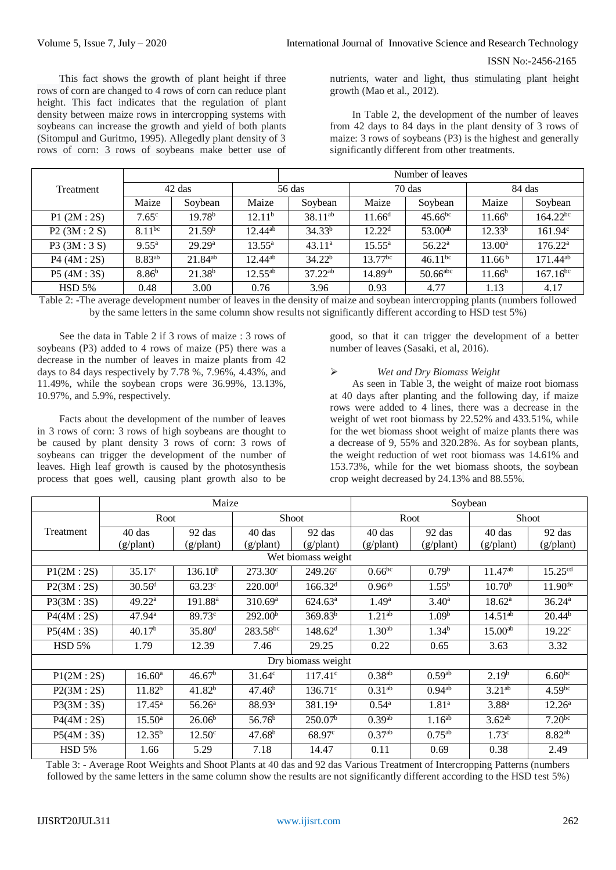This fact shows the growth of plant height if three rows of corn are changed to 4 rows of corn can reduce plant height. This fact indicates that the regulation of plant density between maize rows in intercropping systems with soybeans can increase the growth and yield of both plants (Sitompul and Guritmo, 1995). Allegedly plant density of 3 rows of corn: 3 rows of soybeans make better use of nutrients, water and light, thus stimulating plant height growth (Mao et al., 2012).

In Table 2, the development of the number of leaves from 42 days to 84 days in the plant density of 3 rows of maize: 3 rows of soybeans (P3) is the highest and generally significantly different from other treatments.

|                  |                    |                    |                    | Number of leaves   |                 |                 |                    |                     |  |
|------------------|--------------------|--------------------|--------------------|--------------------|-----------------|-----------------|--------------------|---------------------|--|
| <b>Treatment</b> | 42 das             |                    | 56 das             |                    | $70$ das        |                 | 84 das             |                     |  |
|                  | Maize              | Soybean            | Maize              | Soybean            | Maize           | Soybean         | Maize              | Soybean             |  |
| P1(2M:2S)        | 7.65c              | 19.78 <sup>b</sup> | 12.11 <sup>b</sup> | $38.11^{ab}$       | $11.66^d$       | $45.66^{bc}$    | $11.66^{b}$        | $164.22^{bc}$       |  |
| P2(3M:2S)        | $8.11^{bc}$        | 21.59 <sup>b</sup> | $12.44^{ab}$       | 34.33 <sup>b</sup> | $12.22^d$       | $53.00^{ab}$    | $12.33^{b}$        | $161.94^c$          |  |
| P3 (3M:3 S)      | $9.55^{\rm a}$     | 29.29 <sup>a</sup> | $13.55^{\rm a}$    | $43.11^a$          | $15.55^{\rm a}$ | $56.22^{\rm a}$ | $13.00^a$          | $176.22^{\text{a}}$ |  |
| P4 (4M:2S)       | 8.83 <sup>ab</sup> | $21.84^{ab}$       | $12.44^{ab}$       | 34.22 <sup>b</sup> | $13.77^{bc}$    | $46.11^{bc}$    | 11.66 <sup>b</sup> | $171.44^{ab}$       |  |
| P5(4M:3S)        | 8.86 <sup>b</sup>  | $21.38^{b}$        | $12.55^{ab}$       | $37.22^{ab}$       | $14.89^{ab}$    | $50.66$ abc     | $11.66^b$          | $167.16^{bc}$       |  |
| HSD 5%           | 0.48               | 3.00               | 0.76               | 3.96               | 0.93            | 4.77            | 1.13               | 4.17                |  |

Table 2: -The average development number of leaves in the density of maize and soybean intercropping plants (numbers followed by the same letters in the same column show results not significantly different according to HSD test 5%)

See the data in Table 2 if 3 rows of maize : 3 rows of soybeans (P3) added to 4 rows of maize (P5) there was a decrease in the number of leaves in maize plants from 42 days to 84 days respectively by 7.78 %, 7.96%, 4.43%, and 11.49%, while the soybean crops were 36.99%, 13.13%, 10.97%, and 5.9%, respectively.

Facts about the development of the number of leaves in 3 rows of corn: 3 rows of high soybeans are thought to be caused by plant density 3 rows of corn: 3 rows of soybeans can trigger the development of the number of leaves. High leaf growth is caused by the photosynthesis process that goes well, causing plant growth also to be

good, so that it can trigger the development of a better number of leaves (Sasaki, et al, 2016).

#### *Wet and Dry Biomass Weight*

As seen in Table 3, the weight of maize root biomass at 40 days after planting and the following day, if maize rows were added to 4 lines, there was a decrease in the weight of wet root biomass by 22.52% and 433.51%, while for the wet biomass shoot weight of maize plants there was a decrease of 9, 55% and 320.28%. As for soybean plants, the weight reduction of wet root biomass was 14.61% and 153.73%, while for the wet biomass shoots, the soybean crop weight decreased by 24.13% and 88.55%.

|                    | Maize              |                     |                       |                     | Soybean            |                    |                     |                      |  |
|--------------------|--------------------|---------------------|-----------------------|---------------------|--------------------|--------------------|---------------------|----------------------|--|
|                    |                    | Root                |                       | Shoot               |                    | Root               |                     | Shoot                |  |
| Treatment          | 40 das             | $92$ das            | $40$ das              | 92 das              | $40$ das           | 92 das             | $40$ das            | 92 das               |  |
|                    | (g/plant)          | (g/plant)           | (g/plant)             | (g/plant)           | (g/plant)          | (g/plant)          | (g/plant)           | (g/plant)            |  |
| Wet biomass weight |                    |                     |                       |                     |                    |                    |                     |                      |  |
| P1(2M:2S)          | $35.17^{\circ}$    | $136.10^{b}$        | $273.30^{\circ}$      | $249.26^{\circ}$    | $0.66^{bc}$        | $0.79^{b}$         | 11.47 <sup>ab</sup> | 15.25 <sup>cd</sup>  |  |
| P2(3M:2S)          | 30.56 <sup>d</sup> | $63.23^{\circ}$     | 220.00 <sup>d</sup>   | 166.32 <sup>d</sup> | $0.96^{ab}$        | $1.55^{b}$         | $10.70^{b}$         | $11.90^{de}$         |  |
| P3(3M:3S)          | 49.22 <sup>a</sup> | 191.88 <sup>a</sup> | $310.69$ <sup>a</sup> | $624.63^a$          | $1.49^{\rm a}$     | $3.40^{\rm a}$     | $18.62^a$           | 36.24a               |  |
| P4(4M:2S)          | $47.94^{\rm a}$    | 89.73c              | 292.00 <sup>b</sup>   | 369.83 <sup>b</sup> | $1.21^{ab}$        | 1.09 <sup>b</sup>  | $14.51^{ab}$        | 20.44 <sup>b</sup>   |  |
| P5(4M:3S)          | 40.17 <sup>b</sup> | 35.80 <sup>d</sup>  | $283.58^{bc}$         | $148.62^{\rm d}$    | 1.30 <sup>ab</sup> | 1.34 <sup>b</sup>  | $15.00^{ab}$        | 19.22 <sup>c</sup>   |  |
| <b>HSD 5%</b>      | 1.79               | 12.39               | 7.46                  | 29.25               | 0.22               | 0.65               | 3.63                | 3.32                 |  |
|                    |                    |                     |                       | Dry biomass weight  |                    |                    |                     |                      |  |
| P1(2M:2S)          | 16.60 <sup>a</sup> | 46.67 <sup>b</sup>  | $31.64^c$             | $117.41^c$          | $0.38^{ab}$        | 0.59 <sup>ab</sup> | $2.19^{b}$          | $6.60^{bc}$          |  |
| P2(3M:2S)          | $11.82^{b}$        | $41.82^{b}$         | 47.46 <sup>b</sup>    | 136.71c             | 0.31 <sup>ab</sup> | $0.94^{ab}$        | 3.21 <sup>ab</sup>  | $4.59$ <sup>bc</sup> |  |
| P3(3M:3S)          | $17.45^{\rm a}$    | 56.26 <sup>a</sup>  | 88.93ª                | 381.19 <sup>a</sup> | $0.54^{\rm a}$     | 1.81 <sup>a</sup>  | $3.88^{a}$          | $12.26^{\rm a}$      |  |
| P4(4M:2S)          | $15.50^{\rm a}$    | 26.06 <sup>b</sup>  | 56.76 <sup>b</sup>    | 250.07 <sup>b</sup> | 0.39 <sup>ab</sup> | 1.16 <sup>ab</sup> | $3.62^{ab}$         | $7.20^{bc}$          |  |
| P5(4M:3S)          | $12.35^{\rm b}$    | $12.50^{\circ}$     | 47.68 <sup>b</sup>    | 68.97 <sup>c</sup>  | 0.37 <sup>ab</sup> | $0.75^{ab}$        | 1.73 <sup>c</sup>   | $8.82^{ab}$          |  |
| <b>HSD 5%</b>      | 1.66               | 5.29                | 7.18                  | 14.47               | 0.11               | 0.69               | 0.38                | 2.49                 |  |

Table 3: - Average Root Weights and Shoot Plants at 40 das and 92 das Various Treatment of Intercropping Patterns (numbers followed by the same letters in the same column show the results are not significantly different according to the HSD test 5%)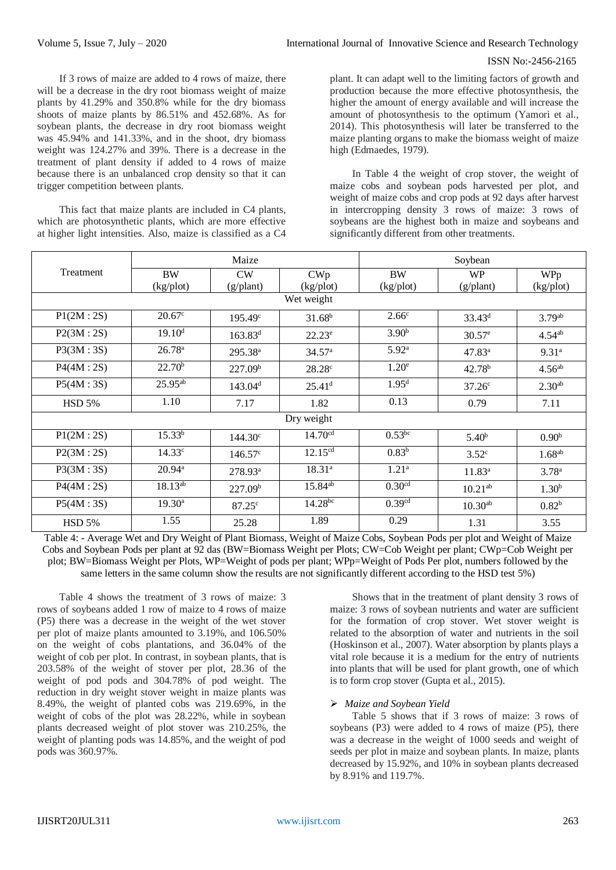If 3 rows of maize are added to 4 rows of maize, there will be a decrease in the dry root biomass weight of maize plants by 41.29% and 350.8% while for the dry biomass shoots of maize plants by 86.51% and 452.68%. As for soybean plants, the decrease in dry root biomass weight was 45.94% and 141.33%, and in the shoot, dry biomass weight was 124.27% and 39%. There is a decrease in the treatment of plant density if added to 4 rows of maize because there is an unbalanced crop density so that it can trigger competition between plants.

This fact that maize plants are included in C4 plants, which are photosynthetic plants, which are more effective at higher light intensities. Also, maize is classified as a C4

plant. It can adapt well to the limiting factors of growth and production because the more effective photosynthesis, the higher the amount of energy available and will increase the amount of photosynthesis to the optimum (Yamori et al., 2014). This photosynthesis will later be transferred to the maize planting organs to make the biomass weight of maize high (Edmaedes, 1979).

In Table 4 the weight of crop stover, the weight of maize cobs and soybean pods harvested per plot, and weight of maize cobs and crop pods at 92 days after harvest in intercropping density 3 rows of maize: 3 rows of soybeans are the highest both in maize and soybeans and significantly different from other treatments.

|               |                      | Maize               |                      | Soybean            |                    |                    |  |  |  |
|---------------|----------------------|---------------------|----------------------|--------------------|--------------------|--------------------|--|--|--|
| Treatment     | <b>BW</b>            | <b>CW</b>           | CWp                  | <b>BW</b>          | <b>WP</b>          | WPp                |  |  |  |
|               | $(kgp)$ <sub>1</sub> | (g/plant)           | $(kgp)$ ot           | (kg/plot)          | $(g/\text{plant})$ | (kg/plot)          |  |  |  |
| Wet weight    |                      |                     |                      |                    |                    |                    |  |  |  |
| P1(2M:2S)     | 20.67 <sup>c</sup>   | $195.49^{\circ}$    | $31.68^{b}$          | 2.66 <sup>c</sup>  | $33.43^d$          | 3.79 <sup>ab</sup> |  |  |  |
| P2(3M:2S)     | 19.10 <sup>d</sup>   | $163.83^{d}$        | $22.23^e$            | 3.90 <sup>b</sup>  | $30.57^e$          | $4.54^{ab}$        |  |  |  |
| P3(3M:3S)     | 26.78 <sup>a</sup>   | 295.38 <sup>a</sup> | 34.57 <sup>a</sup>   | 5.92 <sup>a</sup>  | 47.83 <sup>a</sup> | 9.31 <sup>a</sup>  |  |  |  |
| P4(4M:2S)     | $22.70^b$            | 227.09 <sup>b</sup> | 28.28c               | 1.20 <sup>e</sup>  | $42.78^{b}$        | 4.56 <sup>ab</sup> |  |  |  |
| P5(4M:3S)     | $25.95^{ab}$         | 143.04 <sup>d</sup> | $25.41$ <sup>d</sup> | 1.95 <sup>d</sup>  | $37.26^{\circ}$    | 2.30 <sup>ab</sup> |  |  |  |
| <b>HSD 5%</b> | 1.10                 | 7.17                | 1.82                 | 0.13               | 0.79               | 7.11               |  |  |  |
|               |                      |                     | Dry weight           |                    |                    |                    |  |  |  |
| P1(2M:2S)     | $15.33^{b}$          | $144.30^{\circ}$    | 14.70 <sup>cd</sup>  | $0.53^{bc}$        | $5.40^{b}$         | 0.90 <sup>b</sup>  |  |  |  |
| P2(3M:2S)     | $14.33^{\circ}$      | $146.57^{\circ}$    | $12.15^{cd}$         | $0.83^{b}$         | 3.52 <sup>c</sup>  | $1.68^{ab}$        |  |  |  |
| P3(3M:3S)     | $20.94^{\rm a}$      | $278.93^{\text{a}}$ | $18.31^{a}$          | 1.21 <sup>a</sup>  | $11.83^{a}$        | 3.78 <sup>a</sup>  |  |  |  |
| P4(4M:2S)     | 18.13 <sup>ab</sup>  | 227.09 <sup>b</sup> | 15.84 <sup>ab</sup>  | 0.30 <sup>cd</sup> | $10.21^{ab}$       | 1.30 <sup>b</sup>  |  |  |  |
| P5(4M:3S)     | $19.30^{\rm a}$      | 87.25 <sup>c</sup>  | $14.28^{bc}$         | 0.39 <sup>cd</sup> | $10.30^{ab}$       | $0.82^{b}$         |  |  |  |
| <b>HSD 5%</b> | 1.55                 | 25.28               | 1.89                 | 0.29               | 1.31               | 3.55               |  |  |  |

Table 4: - Average Wet and Dry Weight of Plant Biomass, Weight of Maize Cobs, Soybean Pods per plot and Weight of Maize Cobs and Soybean Pods per plant at 92 das (BW=Biomass Weight per Plots; CW=Cob Weight per plant; CWp=Cob Weight per plot; BW=Biomass Weight per Plots, WP=Weight of pods per plant; WPp=Weight of Pods Per plot, numbers followed by the same letters in the same column show the results are not significantly different according to the HSD test 5%)

Table 4 shows the treatment of 3 rows of maize: 3 rows of soybeans added 1 row of maize to 4 rows of maize (P5) there was a decrease in the weight of the wet stover per plot of maize plants amounted to 3.19%, and 106.50% on the weight of cobs plantations, and 36.04% of the weight of cob per plot. In contrast, in soybean plants, that is 203.58% of the weight of stover per plot, 28.36 of the weight of pod pods and 304.78% of pod weight. The reduction in dry weight stover weight in maize plants was 8.49%, the weight of planted cobs was 219.69%, in the weight of cobs of the plot was 28.22%, while in soybean plants decreased weight of plot stover was 210.25%, the weight of planting pods was 14.85%, and the weight of pod pods was 360.97%.

Shows that in the treatment of plant density 3 rows of maize: 3 rows of soybean nutrients and water are sufficient for the formation of crop stover. Wet stover weight is related to the absorption of water and nutrients in the soil (Hoskinson et al., 2007). Water absorption by plants plays a vital role because it is a medium for the entry of nutrients into plants that will be used for plant growth, one of which is to form crop stover (Gupta et al., 2015).

# *Maize and Soybean Yield*

Table 5 shows that if 3 rows of maize: 3 rows of soybeans (P3) were added to 4 rows of maize (P5), there was a decrease in the weight of 1000 seeds and weight of seeds per plot in maize and soybean plants. In maize, plants decreased by 15.92%, and 10% in soybean plants decreased by 8.91% and 119.7%.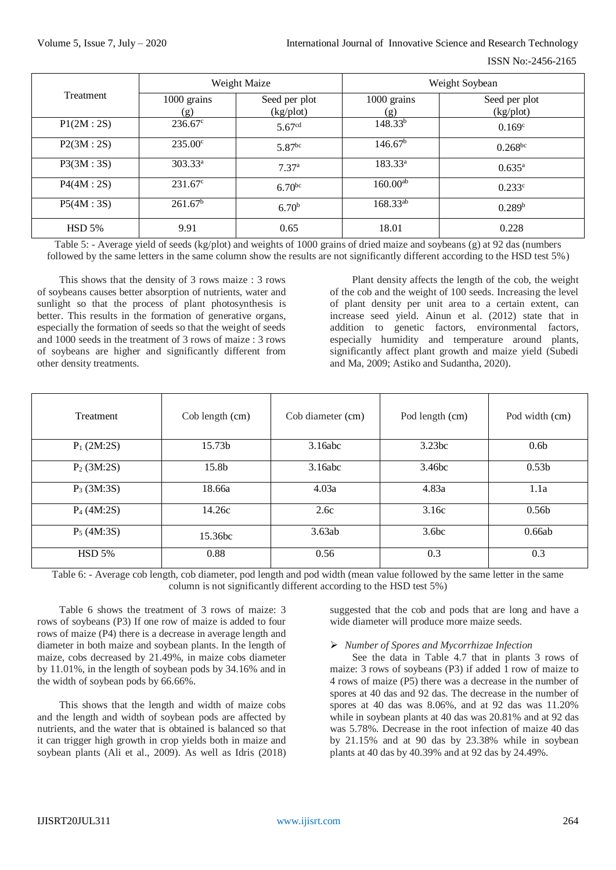|           |                                                  | Weight Maize       | Weight Soybean      |                            |  |  |
|-----------|--------------------------------------------------|--------------------|---------------------|----------------------------|--|--|
| Treatment | 1000 grains<br>Seed per plot<br>(kg/plot)<br>(g) |                    | 1000 grains<br>(g)  | Seed per plot<br>(kg/plot) |  |  |
| P1(2M:2S) | $236.67^{\circ}$                                 | 5.67 <sup>cd</sup> | $148.33^{b}$        | 0.169 <sup>c</sup>         |  |  |
| P2(3M:2S) | $235.00^{\circ}$                                 | 5.87 <sup>bc</sup> | 146.67 <sup>b</sup> | $0.268^{bc}$               |  |  |
| P3(3M:3S) | 303.33 <sup>a</sup>                              | 7.37 <sup>a</sup>  | $183.33^a$          | $0.635^{\rm a}$            |  |  |
| P4(4M:2S) | $231.67^{\circ}$                                 | $6.70^{bc}$        | $160.00^{ab}$       | $0.233^{\circ}$            |  |  |
| P5(4M:3S) | 261.67 <sup>b</sup>                              | 6.70 <sup>b</sup>  | $168.33^{ab}$       | 0.289 <sup>b</sup>         |  |  |
| HSD 5%    | 9.91                                             | 0.65               | 18.01               | 0.228                      |  |  |

Table 5: - Average yield of seeds (kg/plot) and weights of 1000 grains of dried maize and soybeans (g) at 92 das (numbers followed by the same letters in the same column show the results are not significantly different according to the HSD test 5%)

This shows that the density of 3 rows maize : 3 rows of soybeans causes better absorption of nutrients, water and sunlight so that the process of plant photosynthesis is better. This results in the formation of generative organs, especially the formation of seeds so that the weight of seeds and 1000 seeds in the treatment of 3 rows of maize : 3 rows of soybeans are higher and significantly different from other density treatments.

Plant density affects the length of the cob, the weight of the cob and the weight of 100 seeds. Increasing the level of plant density per unit area to a certain extent, can increase seed yield. Ainun et al. (2012) state that in addition to genetic factors, environmental factors, especially humidity and temperature around plants, significantly affect plant growth and maize yield (Subedi and Ma, 2009; Astiko and Sudantha, 2020).

| Treatment     | Cob length (cm)     | Cob diameter (cm) | Pod length (cm)   | Pod width (cm)    |
|---------------|---------------------|-------------------|-------------------|-------------------|
| $P_1(2M:2S)$  | 15.73b              | 3.16abc           | 3.23bc            | 0.6 <sub>b</sub>  |
| $P_2(3M:2S)$  | 15.8b               | 3.16abc           | 3.46bc            | 0.53 <sub>b</sub> |
| $P_3$ (3M:3S) | 18.66a              | 4.03a             | 4.83a             | 1.1a              |
| $P_4(4M:2S)$  | 14.26c              | 2.6c              | 3.16c             | 0.56 <sub>b</sub> |
| $P_5(4M:3S)$  | 15.36 <sub>bc</sub> | 3.63ab            | 3.6 <sub>bc</sub> | 0.66ab            |
| <b>HSD 5%</b> | 0.88                | 0.56              | 0.3               | 0.3               |

Table 6: - Average cob length, cob diameter, pod length and pod width (mean value followed by the same letter in the same column is not significantly different according to the HSD test 5%)

Table 6 shows the treatment of 3 rows of maize: 3 rows of soybeans (P3) If one row of maize is added to four rows of maize (P4) there is a decrease in average length and diameter in both maize and soybean plants. In the length of maize, cobs decreased by 21.49%, in maize cobs diameter by 11.01%, in the length of soybean pods by 34.16% and in the width of soybean pods by 66.66%.

This shows that the length and width of maize cobs and the length and width of soybean pods are affected by nutrients, and the water that is obtained is balanced so that it can trigger high growth in crop yields both in maize and soybean plants (Ali et al., 2009). As well as Idris (2018)

suggested that the cob and pods that are long and have a wide diameter will produce more maize seeds.

#### *Number of Spores and Mycorrhizae Infection*

See the data in Table 4.7 that in plants 3 rows of maize: 3 rows of soybeans (P3) if added 1 row of maize to 4 rows of maize (P5) there was a decrease in the number of spores at 40 das and 92 das. The decrease in the number of spores at 40 das was 8.06%, and at 92 das was 11.20% while in soybean plants at 40 das was 20.81% and at 92 das was 5.78%. Decrease in the root infection of maize 40 das by 21.15% and at 90 das by 23.38% while in soybean plants at 40 das by 40.39% and at 92 das by 24.49%.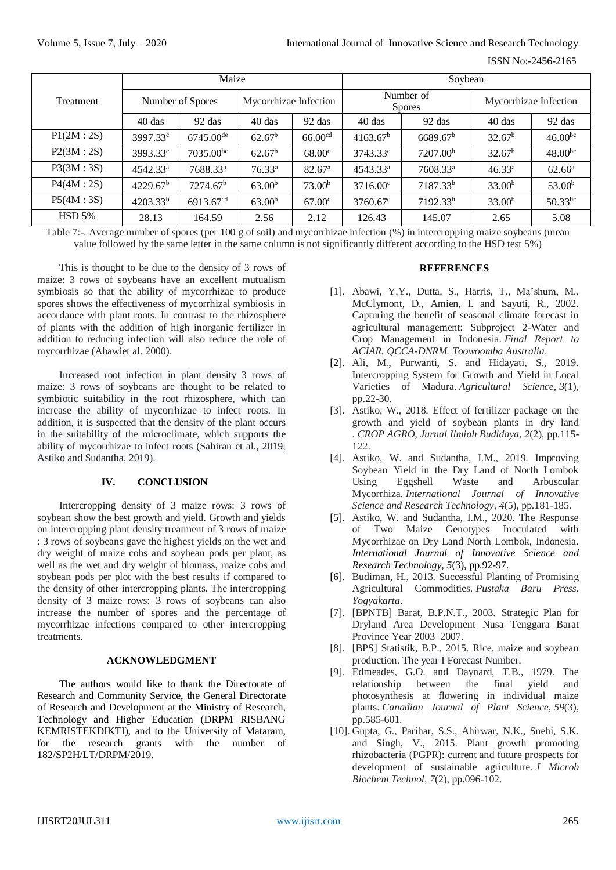|               | Maize                |                       |                       |                     | Soybean                    |                      |                       |                    |
|---------------|----------------------|-----------------------|-----------------------|---------------------|----------------------------|----------------------|-----------------------|--------------------|
| Treatment     | Number of Spores     |                       | Mycorrhizae Infection |                     | Number of<br><b>Spores</b> |                      | Mycorrhizae Infection |                    |
|               | $40$ das             | $92$ das              | $40$ das              | $92$ das            | $40$ das                   | $92$ das             | 40 das                | $92$ das           |
| P1(2M:2S)     | 3997.33 <sup>c</sup> | $6745.00^{\text{de}}$ | 62.67 <sup>b</sup>    | 66.00 <sup>cd</sup> | 4163.67 <sup>b</sup>       | 6689.67 <sup>b</sup> | 32.67 <sup>b</sup>    | $46.00^{bc}$       |
| P2(3M:2S)     | 3993.33 <sup>c</sup> | $7035.00^{bc}$        | 62.67 <sup>b</sup>    | 68.00 <sup>c</sup>  | 3743.33 <sup>c</sup>       | 7207.00 <sup>b</sup> | 32.67 <sup>b</sup>    | $48.00^{bc}$       |
| P3(3M:3S)     | 4542.33 <sup>a</sup> | 7688.33 <sup>a</sup>  | 76.33 <sup>a</sup>    | 82.67 <sup>a</sup>  | 4543.33 <sup>a</sup>       | 7608.33 <sup>a</sup> | $46.33^a$             | $62.66^{\rm a}$    |
| P4(4M:2S)     | 4229.67 <sup>b</sup> | 7274.67 <sup>b</sup>  | 63.00 <sup>b</sup>    | 73.00 <sup>b</sup>  | $3716.00^{\circ}$          | 7187.33 <sup>b</sup> | 33.00 <sup>b</sup>    | 53.00 <sup>b</sup> |
| P5(4M:3S)     | 4203.33 <sup>b</sup> | 6913.67 <sup>cd</sup> | 63.00 <sup>b</sup>    | 67.00 <sup>c</sup>  | $3760.67$ <sup>c</sup>     | 7192.33 <sup>b</sup> | 33.00 <sup>b</sup>    | $50.33^{bc}$       |
| <b>HSD 5%</b> | 28.13                | 164.59                | 2.56                  | 2.12                | 126.43                     | 145.07               | 2.65                  | 5.08               |

Table 7:-. Average number of spores (per 100 g of soil) and mycorrhizae infection (%) in intercropping maize soybeans (mean value followed by the same letter in the same column is not significantly different according to the HSD test 5%)

This is thought to be due to the density of 3 rows of maize: 3 rows of soybeans have an excellent mutualism symbiosis so that the ability of mycorrhizae to produce spores shows the effectiveness of mycorrhizal symbiosis in accordance with plant roots. In contrast to the rhizosphere of plants with the addition of high inorganic fertilizer in addition to reducing infection will also reduce the role of mycorrhizae (Abawiet al. 2000).

Increased root infection in plant density 3 rows of maize: 3 rows of soybeans are thought to be related to symbiotic suitability in the root rhizosphere, which can increase the ability of mycorrhizae to infect roots. In addition, it is suspected that the density of the plant occurs in the suitability of the microclimate, which supports the ability of mycorrhizae to infect roots (Sahiran et al., 2019; Astiko and Sudantha, 2019).

#### **IV. CONCLUSION**

Intercropping density of 3 maize rows: 3 rows of soybean show the best growth and yield. Growth and yields on intercropping plant density treatment of 3 rows of maize : 3 rows of soybeans gave the highest yields on the wet and dry weight of maize cobs and soybean pods per plant, as well as the wet and dry weight of biomass, maize cobs and soybean pods per plot with the best results if compared to the density of other intercropping plants. The intercropping density of 3 maize rows: 3 rows of soybeans can also increase the number of spores and the percentage of mycorrhizae infections compared to other intercropping treatments.

#### **ACKNOWLEDGMENT**

The authors would like to thank the Directorate of Research and Community Service, the General Directorate of Research and Development at the Ministry of Research, Technology and Higher Education (DRPM RISBANG KEMRISTEKDIKTI), and to the University of Mataram, for the research grants with the number of 182/SP2H/LT/DRPM/2019.

# **REFERENCES**

- [1]. Abawi, Y.Y., Dutta, S., Harris, T., Ma'shum, M., McClymont, D., Amien, I. and Sayuti, R., 2002. Capturing the benefit of seasonal climate forecast in agricultural management: Subproject 2-Water and Crop Management in Indonesia. *Final Report to ACIAR. QCCA-DNRM. Toowoomba Australia*.
- [2]. Ali, M., Purwanti, S. and Hidayati, S., 2019. Intercropping System for Growth and Yield in Local Varieties of Madura. *Agricultural Science*, *3*(1), pp.22-30.
- [3]. Astiko, W., 2018. Effect of fertilizer package on the growth and yield of soybean plants in dry land . *CROP AGRO, Jurnal Ilmiah Budidaya*, *2*(2), pp.115- 122.
- [4]. Astiko, W. and Sudantha, I.M., 2019. Improving Soybean Yield in the Dry Land of North Lombok Using Eggshell Waste and Arbuscular Mycorrhiza. *International Journal of Innovative Science and Research Technology*, *4*(5), pp.181-185.
- [5]. Astiko, W. and Sudantha, I.M., 2020. The Response of Two Maize Genotypes Inoculated with Mycorrhizae on Dry Land North Lombok, Indonesia. *International Journal of Innovative Science and Research Technology, 5*(3), pp.92-97.
- [6]. Budiman, H., 2013. Successful Planting of Promising Agricultural Commodities. *Pustaka Baru Press. Yogyakarta*.
- [7]. [BPNTB] Barat, B.P.N.T., 2003. Strategic Plan for Dryland Area Development Nusa Tenggara Barat Province Year 2003–2007.
- [8]. [BPS] Statistik, B.P., 2015. Rice, maize and soybean production. The year I Forecast Number.
- [9]. Edmeades, G.O. and Daynard, T.B., 1979. The relationship between the final yield and photosynthesis at flowering in individual maize plants. *Canadian Journal of Plant Science*, *59*(3), pp.585-601.
- [10]. Gupta, G., Parihar, S.S., Ahirwar, N.K., Snehi, S.K. and Singh, V., 2015. Plant growth promoting rhizobacteria (PGPR): current and future prospects for development of sustainable agriculture. *J Microb Biochem Technol*, *7*(2), pp.096-102.